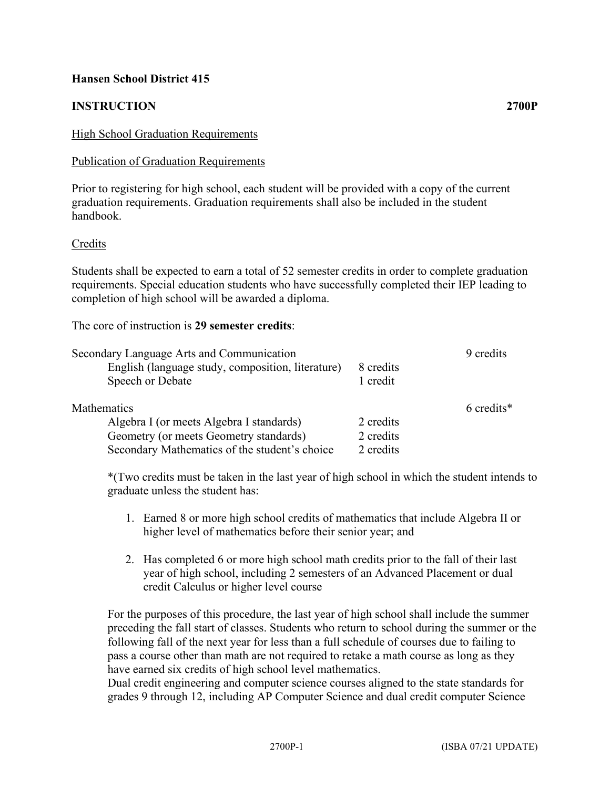# **Hansen School District 415**

# **INSTRUCTION 2700P**

### High School Graduation Requirements

### Publication of Graduation Requirements

Prior to registering for high school, each student will be provided with a copy of the current graduation requirements. Graduation requirements shall also be included in the student handbook.

### Credits

Students shall be expected to earn a total of 52 semester credits in order to complete graduation requirements. Special education students who have successfully completed their IEP leading to completion of high school will be awarded a diploma.

The core of instruction is **29 semester credits**:

| Secondary Language Arts and Communication         |           | 9 credits  |
|---------------------------------------------------|-----------|------------|
| English (language study, composition, literature) | 8 credits |            |
| Speech or Debate                                  | 1 credit  |            |
| <b>Mathematics</b>                                |           | 6 credits* |
| Algebra I (or meets Algebra I standards)          | 2 credits |            |
| Geometry (or meets Geometry standards)            | 2 credits |            |
| Secondary Mathematics of the student's choice     | 2 credits |            |

\*(Two credits must be taken in the last year of high school in which the student intends to graduate unless the student has:

- 1. Earned 8 or more high school credits of mathematics that include Algebra II or higher level of mathematics before their senior year; and
- 2. Has completed 6 or more high school math credits prior to the fall of their last year of high school, including 2 semesters of an Advanced Placement or dual credit Calculus or higher level course

For the purposes of this procedure, the last year of high school shall include the summer preceding the fall start of classes. Students who return to school during the summer or the following fall of the next year for less than a full schedule of courses due to failing to pass a course other than math are not required to retake a math course as long as they have earned six credits of high school level mathematics.

Dual credit engineering and computer science courses aligned to the state standards for grades 9 through 12, including AP Computer Science and dual credit computer Science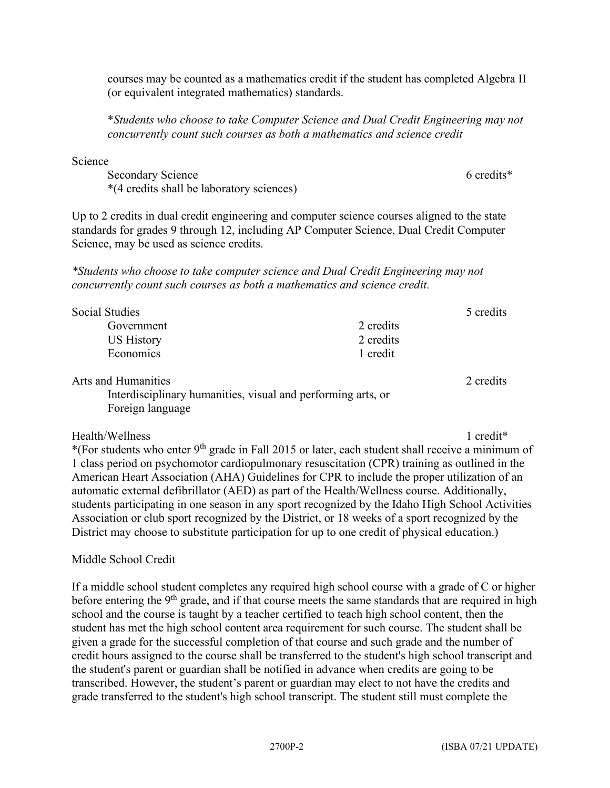courses may be counted as a mathematics credit if the student has completed Algebra II (or equivalent integrated mathematics) standards.

\**Students who choose to take Computer Science and Dual Credit Engineering may not concurrently count such courses as both a mathematics and science credit*

Science

Secondary Science 6 credits\* 6 credits\* \*(4 credits shall be laboratory sciences)

Up to 2 credits in dual credit engineering and computer science courses aligned to the state standards for grades 9 through 12, including AP Computer Science, Dual Credit Computer Science, may be used as science credits.

*\*Students who choose to take computer science and Dual Credit Engineering may not concurrently count such courses as both a mathematics and science credit.*

| <b>Social Studies</b>      |           | 5 credits |
|----------------------------|-----------|-----------|
| Government                 | 2 credits |           |
| US History                 | 2 credits |           |
| Economics                  | 1 credit  |           |
| <b>Arts and Humanities</b> |           | 2 credits |

Interdisciplinary humanities, visual and performing arts, or Foreign language

Health/Wellness 1 credit\*

\*(For students who enter  $9<sup>th</sup>$  grade in Fall 2015 or later, each student shall receive a minimum of 1 class period on psychomotor cardiopulmonary resuscitation (CPR) training as outlined in the American Heart Association (AHA) Guidelines for CPR to include the proper utilization of an automatic external defibrillator (AED) as part of the Health/Wellness course. Additionally, students participating in one season in any sport recognized by the Idaho High School Activities Association or club sport recognized by the District, or 18 weeks of a sport recognized by the District may choose to substitute participation for up to one credit of physical education.)

# Middle School Credit

If a middle school student completes any required high school course with a grade of C or higher before entering the 9<sup>th</sup> grade, and if that course meets the same standards that are required in high school and the course is taught by a teacher certified to teach high school content, then the student has met the high school content area requirement for such course. The student shall be given a grade for the successful completion of that course and such grade and the number of credit hours assigned to the course shall be transferred to the student's high school transcript and the student's parent or guardian shall be notified in advance when credits are going to be transcribed. However, the student's parent or guardian may elect to not have the credits and grade transferred to the student's high school transcript. The student still must complete the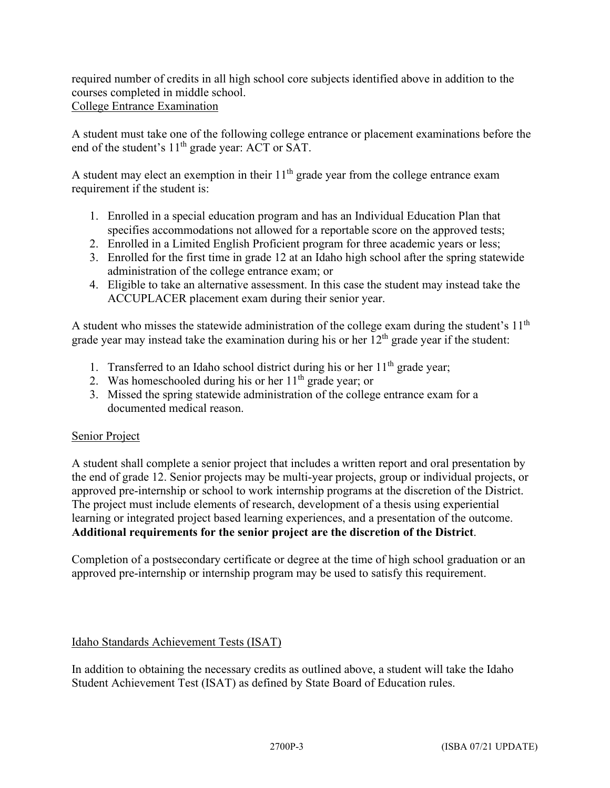required number of credits in all high school core subjects identified above in addition to the courses completed in middle school.

College Entrance Examination

A student must take one of the following college entrance or placement examinations before the end of the student's  $11<sup>th</sup>$  grade year: ACT or SAT.

A student may elect an exemption in their  $11<sup>th</sup>$  grade year from the college entrance exam requirement if the student is:

- 1. Enrolled in a special education program and has an Individual Education Plan that specifies accommodations not allowed for a reportable score on the approved tests;
- 2. Enrolled in a Limited English Proficient program for three academic years or less;
- 3. Enrolled for the first time in grade 12 at an Idaho high school after the spring statewide administration of the college entrance exam; or
- 4. Eligible to take an alternative assessment. In this case the student may instead take the ACCUPLACER placement exam during their senior year.

A student who misses the statewide administration of the college exam during the student's 11<sup>th</sup> grade year may instead take the examination during his or her  $12<sup>th</sup>$  grade year if the student:

- 1. Transferred to an Idaho school district during his or her  $11<sup>th</sup>$  grade year;
- 2. Was homeschooled during his or her  $11<sup>th</sup>$  grade year; or
- 3. Missed the spring statewide administration of the college entrance exam for a documented medical reason.

# Senior Project

A student shall complete a senior project that includes a written report and oral presentation by the end of grade 12. Senior projects may be multi-year projects, group or individual projects, or approved pre-internship or school to work internship programs at the discretion of the District. The project must include elements of research, development of a thesis using experiential learning or integrated project based learning experiences, and a presentation of the outcome. **Additional requirements for the senior project are the discretion of the District**.

Completion of a postsecondary certificate or degree at the time of high school graduation or an approved pre-internship or internship program may be used to satisfy this requirement.

# Idaho Standards Achievement Tests (ISAT)

In addition to obtaining the necessary credits as outlined above, a student will take the Idaho Student Achievement Test (ISAT) as defined by State Board of Education rules.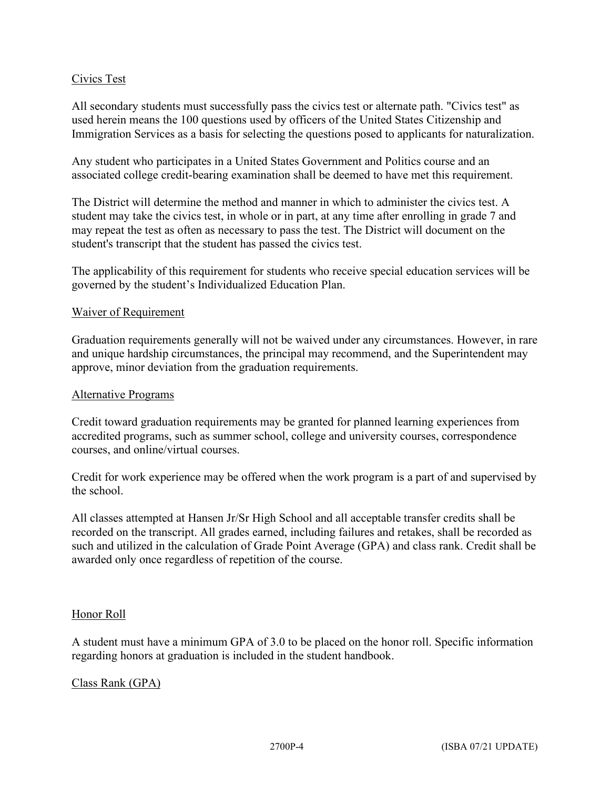## Civics Test

All secondary students must successfully pass the civics test or alternate path. "Civics test" as used herein means the 100 questions used by officers of the United States Citizenship and Immigration Services as a basis for selecting the questions posed to applicants for naturalization.

Any student who participates in a United States Government and Politics course and an associated college credit-bearing examination shall be deemed to have met this requirement.

The District will determine the method and manner in which to administer the civics test. A student may take the civics test, in whole or in part, at any time after enrolling in grade 7 and may repeat the test as often as necessary to pass the test. The District will document on the student's transcript that the student has passed the civics test.

The applicability of this requirement for students who receive special education services will be governed by the student's Individualized Education Plan.

### Waiver of Requirement

Graduation requirements generally will not be waived under any circumstances. However, in rare and unique hardship circumstances, the principal may recommend, and the Superintendent may approve, minor deviation from the graduation requirements.

#### Alternative Programs

Credit toward graduation requirements may be granted for planned learning experiences from accredited programs, such as summer school, college and university courses, correspondence courses, and online/virtual courses.

Credit for work experience may be offered when the work program is a part of and supervised by the school.

All classes attempted at Hansen Jr/Sr High School and all acceptable transfer credits shall be recorded on the transcript. All grades earned, including failures and retakes, shall be recorded as such and utilized in the calculation of Grade Point Average (GPA) and class rank. Credit shall be awarded only once regardless of repetition of the course.

### Honor Roll

A student must have a minimum GPA of 3.0 to be placed on the honor roll. Specific information regarding honors at graduation is included in the student handbook.

### Class Rank (GPA)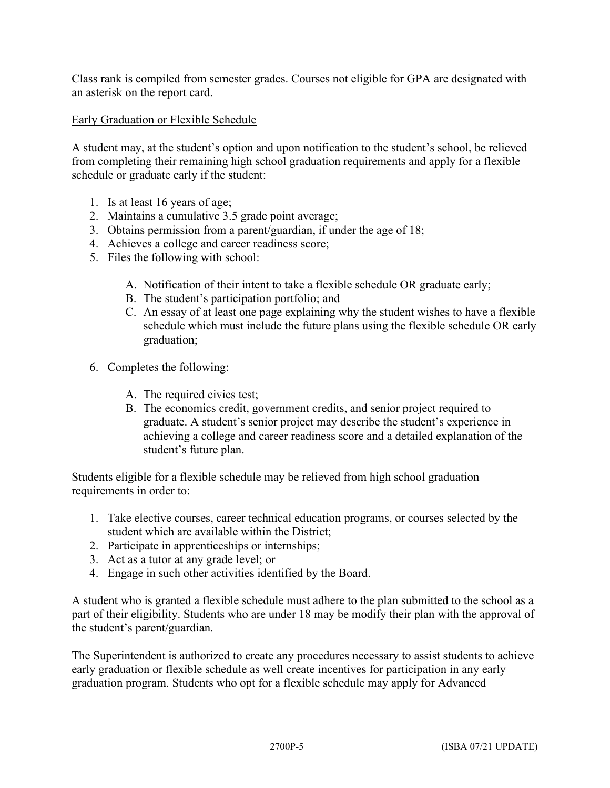Class rank is compiled from semester grades. Courses not eligible for GPA are designated with an asterisk on the report card.

## Early Graduation or Flexible Schedule

A student may, at the student's option and upon notification to the student's school, be relieved from completing their remaining high school graduation requirements and apply for a flexible schedule or graduate early if the student:

- 1. Is at least 16 years of age;
- 2. Maintains a cumulative 3.5 grade point average;
- 3. Obtains permission from a parent/guardian, if under the age of 18;
- 4. Achieves a college and career readiness score;
- 5. Files the following with school:
	- A. Notification of their intent to take a flexible schedule OR graduate early;
	- B. The student's participation portfolio; and
	- C. An essay of at least one page explaining why the student wishes to have a flexible schedule which must include the future plans using the flexible schedule OR early graduation;
- 6. Completes the following:
	- A. The required civics test;
	- B. The economics credit, government credits, and senior project required to graduate. A student's senior project may describe the student's experience in achieving a college and career readiness score and a detailed explanation of the student's future plan.

Students eligible for a flexible schedule may be relieved from high school graduation requirements in order to:

- 1. Take elective courses, career technical education programs, or courses selected by the student which are available within the District;
- 2. Participate in apprenticeships or internships;
- 3. Act as a tutor at any grade level; or
- 4. Engage in such other activities identified by the Board.

A student who is granted a flexible schedule must adhere to the plan submitted to the school as a part of their eligibility. Students who are under 18 may be modify their plan with the approval of the student's parent/guardian.

The Superintendent is authorized to create any procedures necessary to assist students to achieve early graduation or flexible schedule as well create incentives for participation in any early graduation program. Students who opt for a flexible schedule may apply for Advanced